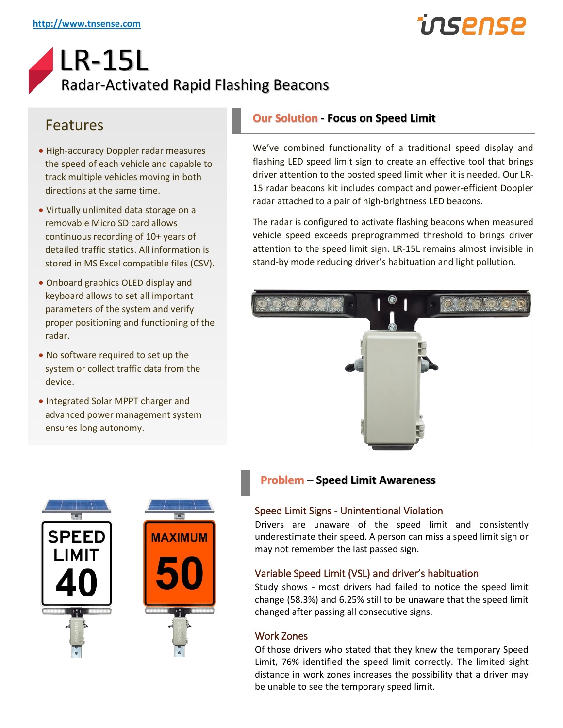# insense

### LR-15L Radar-Activated Rapid Flashing Beacons

### Features

- High-accuracy Doppler radar measures the speed of each vehicle and capable to track multiple vehicles moving in both directions at the same time.
- Virtually unlimited data storage on a removable Micro SD card allows continuous recording of 10+ years of detailed traffic statics. All information is stored in MS Excel compatible files (CSV).
- Onboard graphics OLED display and keyboard allows to set all important parameters of the system and verify proper positioning and functioning of the radar.
- No software required to set up the system or collect traffic data from the device.
- Integrated Solar MPPT charger and advanced power management system ensures long autonomy.



We've combined functionality of a traditional speed display and flashing LED speed limit sign to create an effective tool that brings driver attention to the posted speed limit when it is needed. Our LR-15 radar beacons kit includes compact and power-efficient Doppler radar attached to a pair of high-brightness LED beacons.

The radar is configured to activate flashing beacons when measured vehicle speed exceeds preprogrammed threshold to brings driver attention to the speed limit sign. LR-15L remains almost invisible in stand-by mode reducing driver's habituation and light pollution.





#### **Problem** – **Speed Limit Awareness**

#### Speed Limit Signs - Unintentional Violation

Drivers are unaware of the speed limit and consistently underestimate their speed. A person can miss a speed limit sign or may not remember the last passed sign.

#### Variable Speed Limit (VSL) and driver's habituation

Study shows - most drivers had failed to notice the speed limit change (58.3%) and 6.25% still to be unaware that the speed limit changed after passing all consecutive signs.

#### Work Zones

Of those drivers who stated that they knew the temporary Speed Limit, 76% identified the speed limit correctly. The limited sight distance in work zones increases the possibility that a driver may be unable to see the temporary speed limit.